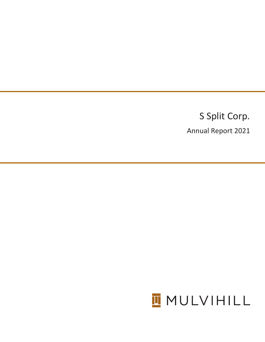# S Split Corp.

Annual Report 2021

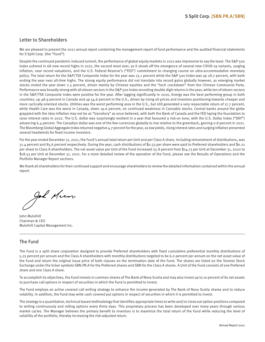# Letter to Shareholders

We are pleased to present the 2021 annual report containing the management report of fund performance and the audited financial statements for S Split Corp. (the "Fund").

Despite the continued pandemic induced turmoil, the performance of global equity markets in 2021 was impressive to say the least. The S&P 500 Index ushered in 68 new record highs in 2021, the second most ever, as it shook off the emergence of several new COVID-19 variants, surging inflation, near record valuations, and the U.S. Federal Reserve's ("FED") commitment to changing course on ultra-accommodative monetary policy. The total return for the S&P/TSX Composite Index for the year was 25.1 percent while the S&P 500 Index was up 28.7 percent, with both ending the year near all-time highs. The strong equity performance did not translate into record gains globally however, as emerging market stocks ended the year down 2.5 percent, driven mainly by Chinese equities and the "tech crackdown" from the Chinese Communist Party. Performance was broadly strong with all eleven sectors in the S&P 500 Index recording double digit returns in the year, while ten of eleven sectors in the S&P/TSX Composite Index were positive for the year. After lagging significantly in 2020, Energy was the best performing group in both countries, up 48.9 percent in Canada and up 54.6 percent in the U.S., driven by rising oil prices and investors positioning towards cheaper and more cyclically oriented stocks. Utilities was the worst performing area in the U.S., but still generated a very respectable return of 17.7 percent, while Health Care was the worst in Canada, down 19.6 percent, on continued weakness in Cannabis stocks. Central banks around the globe grappled with the idea inflation may not be as "transitory" as once believed, with both the Bank of Canada and the FED laying the foundation to raise interest rates in 2022. The U.S. dollar was surprisingly resilient in a year that favoured a risk-on tone, with the U.S. Dollar Index ("DXY") advancing 6.4 percent. The Canadian dollar was one of the few currencies globally to rise relative to the greenback, gaining 0.8 percent in 2021. The Bloomberg Global Aggregate Index returned negative 4.7 percent for the year, as low yields, rising interest rates and surging inflation presented several headwinds for fixed income investors.

For the year ended December 31, 2021, the Fund's annual total return per Unit and per Class A share, including reinvestment of distributions, was 31.4 percent and 85.6 percent respectively. During the year, cash distributions of \$0.53 per share were paid to Preferred shareholders and \$0.21 per share to Class A shareholders. The net asset value per Unit of the Fund increased 25.8 percent from \$14.73 per Unit at December 31, 2020 to \$18.53 per Unit at December 31, 2021. For a more detailed review of the operation of the Fund, please see the Results of Operations and the Portfolio Manager Report sections.

We thank all shareholders for their continued support and encourage shareholders to review the detailed information contained within the annual report.

god Macon.

John Mulvihill Chairman & CEO Mulvihill Capital Management Inc.

# The Fund

The Fund is a split share corporation designed to provide Preferred shareholders with fixed cumulative preferential monthly distributions of 5.25 percent per annum and the Class A shareholders with monthly distributions targeted to be 6.0 percent per annum on the net asset value of the Fund and return the original issue price of both classes on the termination date of the Fund. The shares are listed on the Toronto Stock Exchange under the ticker symbols SBN.PR.A for the Preferred shares and SBN for the Class A shares. A Unit of the Fund consists of one Preferred share and one Class A share.

To accomplish its objectives, the Fund invests in common shares of The Bank of Nova Scotia and may also invest up to 10 percent of its net assets to purchase call options in respect of securities in which the Fund is permitted to invest.

The Fund employs an active covered call writing strategy to enhance the income generated by The Bank of Nova Scotia shares and to reduce volatility. In addition, the Fund may write cash covered put options in respect of securities in which it is permitted to invest.

The strategy is a quantitative, technical based methodology that identifies appropriate times to write and/or close out option positions compared to writing continuously and rolling options every thirty days. This proprietary process has been developed over many years through various market cycles. The Manager believes the primary benefit to investors is to maximize the total return of the Fund while reducing the level of volatility of the portfolio, thereby increasing the risk-adjusted return.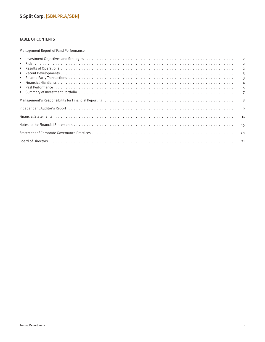# TABLE OF CONTENTS

Management Report of Fund Performance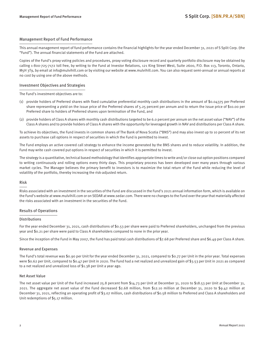# Management Report of Fund Performance

This annual management report of fund performance contains the financial highlights for the year ended December 31, 2021 of S Split Corp. (the "Fund"). The annual financial statements of the Fund are attached.

Copies of the Fund's proxy voting policies and procedures, proxy voting disclosure record and quarterly portfolio disclosure may be obtained by calling 1-800-725-7172 toll free, by writing to the Fund at Investor Relations, 121 King Street West, Suite 2600, P.O. Box 113, Toronto, Ontario, M5H 3T9, by email at info@mulvihill.com or by visiting our website at www.mulvihill.com. You can also request semi-annual or annual reports at no cost by using one of the above methods.

# Investment Objectives and Strategies

The Fund's investment objectives are to:

- (1) provide holders of Preferred shares with fixed cumulative preferential monthly cash distributions in the amount of \$0.04375 per Preferred share representing a yield on the issue price of the Preferred shares of 5.25 percent per annum and to return the issue price of \$10.00 per Preferred share to holders of Preferred shares upon termination of the Fund, and
- (2) provide holders of Class A shares with monthly cash distributions targeted to be 6.0 percent per annum on the net asset value ("NAV") of the Class A shares and to provide holders of Class A shares with the opportunity for leveraged growth in NAV and distributions per Class A share.

To achieve its objectives, the Fund invests in common shares of The Bank of Nova Scotia ("BNS") and may also invest up to 10 percent of its net assets to purchase call options in respect of securities in which the Fund is permitted to invest.

The Fund employs an active covered call strategy to enhance the income generated by the BNS shares and to reduce volatility. In addition, the Fund may write cash covered put options in respect of securities in which it is permitted to invest.

The strategy is a quantitative, technical based methodology that identifies appropriate times to write and/or close out option positions compared to writing continuously and rolling options every thirty days. This proprietary process has been developed over many years through various market cycles. The Manager believes the primary benefit to investors is to maximize the total return of the Fund while reducing the level of volatility of the portfolio, thereby increasing the risk-adjusted return.

# Risk

Risks associated with an investment in the securities of the Fund are discussed in the Fund's 2021 annual information form, which is available on the Fund's website at www.mulvihill.com or on SEDAR at www.sedar.com. There were no changes to the Fund over the year that materially affected the risks associated with an investment in the securities of the Fund.

# Results of Operations

# Distributions

For the year ended December 31, 2021, cash distributions of \$0.53 per share were paid to Preferred shareholders, unchanged from the previous year and \$0.21 per share were paid to Class A shareholders compared to none in the prior year.

Since the inception of the Fund in May 2007, the Fund has paid total cash distributions of \$7.68 per Preferred share and \$6.49 per Class A share.

# Revenue and Expenses

The Fund's total revenue was \$0.90 per Unit for the year ended December 31, 2021, compared to \$0.77 per Unit in the prior year. Total expenses were \$0.62 per Unit, compared to \$0.47 per Unit in 2020. The Fund had a net realized and unrealized gain of \$3.53 per Unit in 2021 as compared to a net realized and unrealized loss of \$1.38 per Unit a year ago.

# Net Asset Value

The net asset value per Unit of the Fund increased 25.8 percent from \$14.73 per Unit at December 31, 2020 to \$18.53 per Unit at December 31, 2021. The aggregate net asset value of the Fund decreased \$2.68 million, from \$12.10 million at December 31, 2020 to \$9.42 million at December 31, 2021, reflecting an operating profit of \$3.07 million, cash distributions of \$0.58 million to Preferred and Class A shareholders and Unit redemptions of \$5.17 million.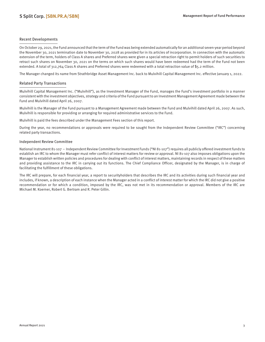# Recent Developments

On October 29, 2021, the Fund announced that the term of the Fund was being extended automatically for an additional seven-year period beyond the November 30, 2021 termination date to November 30, 2028 as provided for in its articles of incorporation. In connection with the automatic extension of the term, holders of Class A shares and Preferred shares were given a special retraction right to permit holders of such securities to retract such shares on November 30, 2021 on the terms on which such shares would have been redeemed had the term of the Fund not been extended. A total of 312,764 Class A shares and Preferred shares were redeemed with a total retraction value of \$5.2 million.

The Manager changed its name from Strathbridge Asset Management Inc. back to Mulvihill Capital Management Inc. effective January 1, 2022.

# Related Party Transactions

Mulvihill Capital Management Inc. ("Mulvihill"), as the Investment Manager of the Fund, manages the Fund's investment portfolio in a manner consistent with the investment objectives, strategy and criteria of the Fund pursuant to an Investment Management Agreement made between the Fund and Mulvihill dated April 26, 2007.

Mulvihill is the Manager of the Fund pursuant to a Management Agreement made between the Fund and Mulvihill dated April 26, 2007. As such, Mulvihill is responsible for providing or arranging for required administrative services to the Fund.

Mulvihill is paid the fees described under the Management Fees section of this report.

During the year, no recommendations or approvals were required to be sought from the Independent Review Committee ("IRC") concerning related party transactions.

#### Independent Review Committee

National Instrument 81-107 – Independent Review Committee for Investment Funds ("NI 81-107") requires all publicly offered investment funds to establish an IRC to whom the Manager must refer conflict of interest matters for review or approval. NI 81-107 also imposes obligations upon the Manager to establish written policies and procedures for dealing with conflict of interest matters, maintaining records in respect of these matters and providing assistance to the IRC in carrying out its functions. The Chief Compliance Officer, designated by the Manager, is in charge of facilitating the fulfillment of these obligations.

The IRC will prepare, for each financial year, a report to securityholders that describes the IRC and its activities during such financial year and includes, if known, a description of each instance when the Manager acted in a conflict of interest matter for which the IRC did not give a positive recommendation or for which a condition, imposed by the IRC, was not met in its recommendation or approval. Members of the IRC are Michael M. Koerner, Robert G. Bertram and R. Peter Gillin.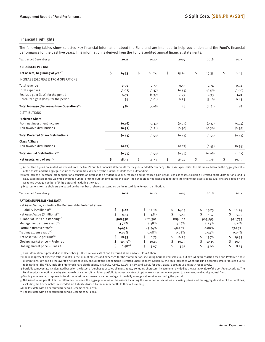# Financial Highlights

The following tables show selected key financial information about the Fund and are intended to help you understand the Fund's financial performance for the past five years. This information is derived from the Fund's audited annual financial statements.

| Years ended December 31                                                                                         | 2021                           | 2020                               | 2019                           | 2018                             | 2017                           |
|-----------------------------------------------------------------------------------------------------------------|--------------------------------|------------------------------------|--------------------------------|----------------------------------|--------------------------------|
| <b>NET ASSETS PER UNIT</b>                                                                                      |                                |                                    |                                |                                  |                                |
| Net Assets, beginning of year <sup>(1)</sup>                                                                    | \$<br>14.73                    | \$<br>16.24                        | \$<br>15.76                    | \$<br>19.35                      | \$<br>18.64                    |
| INCREASE (DECREASE) FROM OPERATIONS                                                                             |                                |                                    |                                |                                  |                                |
| Total revenue<br>Total expenses<br>Realized gain (loss) for the period<br>Unrealized gain (loss) for the period | 0.90<br>(0.62)<br>1.59<br>1.94 | 0.77<br>(0.47)<br>(1.37)<br>(0.01) | 0.57<br>(0.55)<br>0.99<br>0.23 | 0.74<br>(0.58)<br>0.33<br>(3.10) | 0.72<br>(0.60)<br>1.21<br>0.45 |
| Total Increase (Decrease) from Operations <sup>(2)</sup>                                                        | 3.81                           | (1.08)                             | 1.24                           | (2.61)                           | 1.78                           |
| <b>DISTRIBUTIONS</b>                                                                                            |                                |                                    |                                |                                  |                                |
| <b>Preferred Share</b><br>From net investment income<br>Non-taxable distributions                               | (0.16)<br>(0.37)               | (0.32)<br>(0.21)                   | (0.23)<br>(0.30)               | (0.17)<br>(0.36)                 | (0.14)<br>(0.39)               |
| <b>Total Preferred Share Distributions</b>                                                                      | (0.53)                         | (0.53)                             | (0.53)                         | (0.53)                           | (0.53)                         |
| <b>Class A Share</b><br>Non-taxable distributions                                                               | (0.21)                         |                                    | (0.21)                         | (0.45)                           | (0.54)                         |
| Total Annual Distributions <sup>(3)</sup>                                                                       | (0.74)                         | (0.53)                             | (0.74)                         | (0.98)                           | (1.07)                         |
| Net Assets, end of year(1)                                                                                      | \$<br>18.53                    | \$<br>14.73                        | \$<br>16.24                    | \$<br>15.76                      | \$<br>19.35                    |

(1) All per Unit figures presented are derived from the Fund's audited financial statements for the years ended December 31. Net assets per Unit is the difference between the aggregate value of the assets and the aggregate value of the liabilities, divided by the number of Units then outstanding.

(2)Total increase (decrease) from operations consists of interest and dividend revenue, realized and unrealized gain (loss), less expenses excluding Preferred share distributions, and is calculated based on the weighted average number of Units outstanding during the year. The schedule is not intended to total to the ending net assets as calculations are based on the weighted average number of Units outstanding during the year.

(3) Distributions to shareholders are based on the number of shares outstanding on the record date for each distribution.

| Years ended December 31                                   | 2021                | 2020        | 2019        | 2018        | 2017        |
|-----------------------------------------------------------|---------------------|-------------|-------------|-------------|-------------|
| RATIOS/SUPPLEMENTAL DATA                                  |                     |             |             |             |             |
| Net Asset Value, excluding the Redeemable Preferred share |                     |             |             |             |             |
| liability $(\text{5}$ millions) <sup>(1)</sup>            | 9.42                | \$<br>12.10 | \$<br>14.45 | \$<br>15.23 | \$<br>18.94 |
| Net Asset Value $(\$$ millions) $^{(1)}$                  | S<br>4.34           | \$<br>3.89  | \$<br>5.55  | \$<br>5.57  | \$<br>9.15  |
| Number of Units outstanding $(1)$                         | 508,538             | 821,302     | 889,802     | 965,993     | 978,753     |
| Management expense ratio $^{(2)}$                         | 3.72%               | 3.48%       | 3.26%       | 3.23%       | 3.11%       |
| Portfolio turnover rate <sup>(3)</sup>                    | 14.45%              | 49.54%      | 40.20%      | $0.00\%$    | 23.23%      |
| Trading expense ratio <sup>(4)</sup>                      | 0.02%               | 0.08%       | 0.08%       | 0.04%       | 0.03%       |
| Net Asset Value per Unit <sup>(5)</sup>                   | S.<br>18.53         | S.<br>14.73 | \$<br>16.24 | \$<br>15.76 | \$<br>19.35 |
| Closing market price - Preferred                          | $10.30^{(6)}$<br>S. | \$<br>10.11 | \$<br>10.75 | \$<br>10.15 | \$<br>10.55 |
| Closing market price - Class A                            | $6.98^{(7)}$        | \$<br>3.67  | \$<br>5.31  | \$<br>5.00  | \$<br>8.25  |

(1) This information is provided as at December 31. One Unit consists of one Preferred share and one Class A share.

(2)The management expense ratio ("MER") is the sum of all fees and expenses for the stated period, including harmonized sales tax but excluding transaction fees and Preferred share distributions, divided by the average net asset value, excluding the Redeemable Preferred Share liability. Generally, the MER increases when the Fund becomes smaller in size due to redemptions. The MER, including Preferred share distributions, is 6.85%, 7.47%, 6.44%, 6.18% and 5.85% for 2021, 2020, 2019, 2018 and 2017 respectively.

(3) Portfolio turnover rate is calculated based on the lesser of purchases or sales of investments, excluding short-term investments, divided by the average value of the portfolio securities. The Fund employs an option overlay strategy which can result in higher portfolio turnover by virtue of option exercises, when compared to a conventional equity mutual fund.

(4)Trading expense ratio represents total commissions expressed as a percentage of the daily average net asset value during the period.

(5) Net Asset Value per Unit is the difference between the aggregate value of the assets including the valuation of securities at closing prices and the aggregate value of the liabilities, excluding the Redeemable Preferred Share liability, divided by the number of Units then outstanding.

(6)The last date with an executed trade was December 20, 2021.

(7) The last date with an executed trade was December 24, 2021.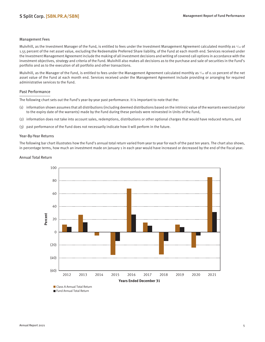## Management Fees

Mulvihill, as the Investment Manager of the Fund, is entitled to fees under the Investment Management Agreement calculated monthly as 1/12 of 1.55 percent of the net asset value, excluding the Redeemable Preferred Share liability, of the Fund at each month end. Services received under the Investment Management Agreement include the making of all investment decisions and writing of covered call options in accordance with the investment objectives, strategy and criteria of the Fund. Mulvihill also makes all decisions as to the purchase and sale of securities in the Fund's portfolio and as to the execution of all portfolio and other transactions.

Mulvihill, as the Manager of the Fund, is entitled to fees under the Management Agreement calculated monthly as 1/12 of 0.10 percent of the net asset value of the Fund at each month end. Services received under the Management Agreement include providing or arranging for required administrative services to the Fund.

# Past Performance

The following chart sets out the Fund's year-by-year past performance. It is important to note that the:

- (1) information shown assumes that all distributions (including deemed distributions based on the intrinsic value of the warrants exercised prior to the expiry date of the warrants) made by the Fund during these periods were reinvested in Units of the Fund,
- (2) information does not take into account sales, redemptions, distributions or other optional charges that would have reduced returns, and
- (3) past performance of the Fund does not necessarily indicate how it will perform in the future.

#### Year-By-Year Returns

The following bar chart illustrates how the Fund's annual total return varied from year to year for each of the past ten years. The chart also shows, in percentage terms, how much an investment made on January 1 in each year would have increased or decreased by the end of the fiscal year.

#### Annual Total Return

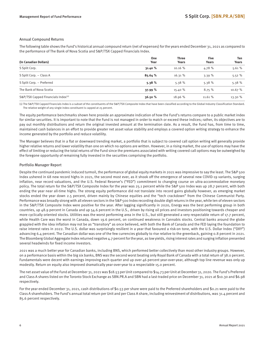# Annual Compound Returns

The following table shows the Fund's historical annual compound return (net of expenses) for the years ended December 31, 2021 as compared to the performance of The Bank of Nova Scotia and S&P/TSX Capped Financials Index.

| (In Canadian Dollars)                          | One<br>Year | <b>Three</b><br>Years | <b>Five</b><br>Years | Ten<br>Years |
|------------------------------------------------|-------------|-----------------------|----------------------|--------------|
| S Split Corp.                                  | 31.40 %     | 10.16%                | 4.78 %               | 5.61%        |
| S Split Corp. - Class A                        | 85.64%      | 16.31%                | 3.39%                | 5.52%        |
| S Split Corp. - Preferred                      | 5.38%       | 5.38%                 | 5.38%                | 5.38%        |
| The Bank of Nova Scotia                        | 37.99 %     | 15.40 %               | 8.75%                | 10.67%       |
| S&P/TSX Capped Financials Index <sup>(1)</sup> | 36.50 %     | 18.96 %               | 11.61%               | 13.30 %      |

(1) The S&P/TSX Capped Financials Index is a subset of the constituents of the S&P/TSX Composite Index that have been classified according to the Global Industry Classification Standard. The relative weight of any single index constituent is capped at 25 percent.

The equity performance benchmarks shown here provide an approximate indication of how the Fund's returns compare to a public market index for similar securities. It is important to note that the Fund is not managed in order to match or exceed these indices; rather, its objectives are to pay out monthly distributions and return the original invested amount at the termination date. As a result, the Fund has, from time to time, maintained cash balances in an effort to provide greater net asset value stability and employs a covered option writing strategy to enhance the income generated by the portfolio and reduce volatility.

The Manager believes that in a flat or downward trending market, a portfolio that is subject to covered call option writing will generally provide higher relative returns and lower volatility than one on which no options are written. However, in a rising market, the use of options may have the effect of limiting or reducing the total returns of the Fund since the premiums associated with writing covered call options may be outweighed by the foregone opportunity of remaining fully invested in the securities comprising the portfolio.

# Portfolio Manager Report

Despite the continued pandemic induced turmoil, the performance of global equity markets in 2021 was impressive to say the least. The S&P 500 Index ushered in 68 new record highs in 2021, the second most ever, as it shook off the emergence of several new COVID-19 variants, surging inflation, near record valuations, and the U.S. Federal Reserve's ("FED") commitment to changing course on ultra-accommodative monetary policy. The total return for the S&P/TSX Composite Index for the year was 25.1 percent while the S&P 500 Index was up 28.7 percent, with both ending the year near all-time highs. The strong equity performance did not translate into record gains globally however, as emerging market stocks ended the year down 2.5 percent, driven mainly by Chinese equities and the "tech crackdown" from the Chinese Communist Party. Performance was broadly strong with all eleven sectors in the S&P 500 Index recording double digit returns in the year, while ten of eleven sectors in the S&P/TSX Composite Index were positive for the year. After lagging significantly in 2020, Energy was the best performing group in both countries, up 48.9 percent in Canada and up 54.6 percent in the U.S., driven by rising oil prices and investors positioning towards cheaper and more cyclically oriented stocks. Utilities was the worst performing area in the U.S., but still generated a very respectable return of 17.7 percent, while Health Care was the worst in Canada, down 19.6 percent, on continued weakness in Cannabis stocks. Central banks around the globe grappled with the idea inflation may not be as "transitory" as once believed, with both the Bank of Canada and the FED laying the foundation to raise interest rates in 2022. The U.S. dollar was surprisingly resilient in a year that favoured a risk-on tone, with the U.S. Dollar Index ("DXY") advancing 6.4 percent. The Canadian dollar was one of the few currencies globally to rise relative to the greenback, gaining 0.8 percent in 2021. The Bloomberg Global Aggregate Index returned negative 4.7 percent for the year, as low yields, rising interest rates and surging inflation presented several headwinds for fixed income investors.

2021 was a much better year for Canadian banks, including BNS, which performed better collectively than most other industry groups. However, on a performance basis within the big six banks, BNS was the second worst beating only Royal Bank of Canada with a total return of 38.0 percent. Fundamentals were decent with earnings improving each quarter and up over 46 percent year-over-year, although top line revenue was only up modestly. Return on equity also improved dramatically year-over-year to a respectable 15.0 percent.

The net asset value of the Fund at December 31, 2021 was \$18.53 per Unit compared to \$14.73 per Unit at December 31, 2020. The Fund's Preferred and Class A shares listed on the Toronto Stock Exchange as SBN.PR.A and SBN had a last-traded price on December 31, 2021 at \$10.30 and \$6.98 respectively.

For the year ended December 31, 2021, cash distributions of \$0.53 per share were paid to the Preferred shareholders and \$0.21 were paid to the Class A shareholders. The Fund's annual total return per Unit and per Class A share, including reinvestment of distributions, was 31.4 percent and 85.6 percent respectively.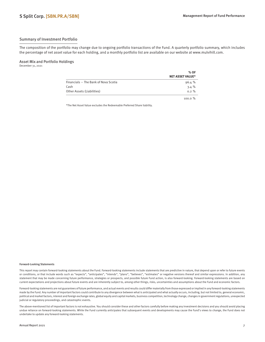## Summary of Investment Portfolio

The composition of the portfolio may change due to ongoing portfolio transactions of the Fund. A quarterly portfolio summary, which includes the percentage of net asset value for each holding, and a monthly portfolio list are available on our website at www.mulvihill.com.

### Asset Mix and Portfolio Holdings

December 31, 2021

|                                      | % OF<br><b>NET ASSET VALUE*</b> |
|--------------------------------------|---------------------------------|
| Financials - The Bank of Nova Scotia | 96.4%                           |
| Cash                                 | 3.4%                            |
| Other Assets (Liabilities)           | $0.2 \%$                        |
|                                      | 100.0%                          |

\*The Net Asset Value excludes the Redeemable Preferred Share liability.

#### Forward-Looking Statements

This report may contain forward-looking statements about the Fund. Forward-looking statements include statements that are predictive in nature, that depend upon or refer to future events or conditions, or that include words such as "expects", "anticipates", "intends", "plans", "believes", "estimates" or negative versions thereof and similar expressions. In addition, any statement that may be made concerning future performance, strategies or prospects, and possible future Fund action, is also forward-looking. Forward-looking statements are based on current expectations and projections about future events and are inherently subject to, among other things, risks, uncertainties and assumptions about the Fund and economic factors.

Forward-looking statements are not guarantees of future performance, and actual events and results could differ materially from those expressed or implied in any forward-looking statements made by the Fund. Any number of important factors could contribute to any divergence between what is anticipated and what actually occurs, including, but not limited to, general economic, political and market factors, interest and foreign exchange rates, global equity and capital markets, business competition, technology change, changes in government regulations, unexpected judicial or regulatory proceedings, and catastrophic events.

The above-mentioned list of important factors is not exhaustive. You should consider these and other factors carefully before making any investment decisions and you should avoid placing undue reliance on forward-looking statements. While the Fund currently anticipates that subsequent events and developments may cause the Fund's views to change, the Fund does not undertake to update any forward-looking statements.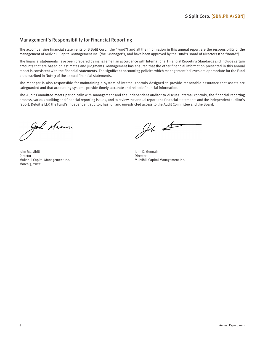# Management's Responsibility for Financial Reporting

The accompanying financial statements of S Split Corp. (the "Fund") and all the information in this annual report are the responsibility of the management of Mulvihill Capital Management Inc. (the "Manager"), and have been approved by the Fund's Board of Directors (the "Board").

The financial statements have been prepared by management in accordance with International Financial Reporting Standards and include certain amounts that are based on estimates and judgments. Management has ensured that the other financial information presented in this annual report is consistent with the financial statements. The significant accounting policies which management believes are appropriate for the Fund are described in Note 3 of the annual financial statements.

The Manager is also responsible for maintaining a system of internal controls designed to provide reasonable assurance that assets are safeguarded and that accounting systems provide timely, accurate and reliable financial information.

The Audit Committee meets periodically with management and the independent auditor to discuss internal controls, the financial reporting process, various auditing and financial reporting issues, and to review the annual report, the financial statements and the independent auditor's report. Deloitte LLP, the Fund's independent auditor, has full and unrestricted access to the Audit Committee and the Board.

god Mum.

John Mulvihill Director Mulvihill Capital Management Inc. March 3, 2022

 $94$ 

John D. Germain Director Mulvihill Capital Management Inc.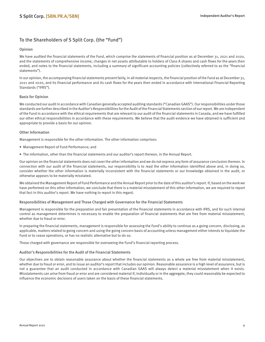# To the Shareholders of S Split Corp. (the "Fund")

# Opinion

We have audited the financial statements of the Fund, which comprise the statements of financial position as at December 31, 2021 and 2020, and the statements of comprehensive income, changes in net assets attributable to holders of Class A shares and cash flows for the years then ended, and notes to the financial statements, including a summary of significant accounting policies (collectively referred to as the "financial statements").

In our opinion, the accompanying financial statements present fairly, in all material respects, the financial position of the Fund as at December 31, 2021 and 2020, and its financial performance and its cash flows for the years then ended in accordance with International Financial Reporting Standards ("IFRS").

# Basis for Opinion

We conducted our audit in accordance with Canadian generally accepted auditing standards ("Canadian GAAS"). Our responsibilities under those standards are further described in the Auditor's Responsibilities for the Audit of the Financial Statements section of our report. We are independent of the Fund in accordance with the ethical requirements that are relevant to our audit of the financial statements in Canada, and we have fulfilled our other ethical responsibilities in accordance with these requirements. We believe that the audit evidence we have obtained is sufficient and appropriate to provide a basis for our opinion.

## Other Information

Management is responsible for the other information. The other information comprises:

- Management Report of Fund Performance; and
- The information, other than the financial statements and our auditor's report thereon, in the Annual Report.

Our opinion on the financial statements does not cover the other information and we do not express any form of assurance conclusion thereon. In connection with our audit of the financial statements, our responsibility is to read the other information identified above and, in doing so, consider whether the other information is materially inconsistent with the financial statements or our knowledge obtained in the audit, or otherwise appears to be materially misstated.

We obtained the Management Report of Fund Performance and the Annual Report prior to the date of this auditor's report. If, based on the work we have performed on this other information, we conclude that there is a material misstatement of this other information, we are required to report that fact in this auditor's report. We have nothing to report in this regard.

# Responsibilities of Management and Those Charged with Governance for the Financial Statements

Management is responsible for the preparation and fair presentation of the financial statements in accordance with IFRS, and for such internal control as management determines is necessary to enable the preparation of financial statements that are free from material misstatement, whether due to fraud or error.

In preparing the financial statements, management is responsible for assessing the Fund's ability to continue as a going concern, disclosing, as applicable, matters related to going concern and using the going concern basis of accounting unless management either intends to liquidate the Fund or to cease operations, or has no realistic alternative but to do so.

Those charged with governance are responsible for overseeing the Fund's financial reporting process.

# Auditor's Responsibilities for the Audit of the Financial Statements

Our objectives are to obtain reasonable assurance about whether the financial statements as a whole are free from material misstatement, whether due to fraud or error, and to issue an auditor's report that includes our opinion. Reasonable assurance is a high level of assurance, but is not a guarantee that an audit conducted in accordance with Canadian GAAS will always detect a material misstatement when it exists. Misstatements can arise from fraud or error and are considered material if, individually or in the aggregate, they could reasonably be expected to influence the economic decisions of users taken on the basis of these financial statements.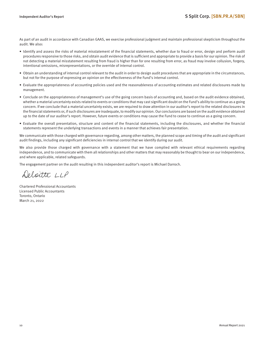As part of an audit in accordance with Canadian GAAS, we exercise professional judgment and maintain professional skepticism throughout the audit. We also:

- Identify and assess the risks of material misstatement of the financial statements, whether due to fraud or error, design and perform audit procedures responsive to those risks, and obtain audit evidence that is sufficient and appropriate to provide a basis for our opinion. The risk of not detecting a material misstatement resulting from fraud is higher than for one resulting from error, as fraud may involve collusion, forgery, intentional omissions, misrepresentations, or the override of internal control.
- Obtain an understanding of internal control relevant to the audit in order to design audit procedures that are appropriate in the circumstances, but not for the purpose of expressing an opinion on the effectiveness of the Fund's internal control.
- Evaluate the appropriateness of accounting policies used and the reasonableness of accounting estimates and related disclosures made by management.
- Conclude on the appropriateness of management's use of the going concern basis of accounting and, based on the audit evidence obtained, whether a material uncertainty exists related to events or conditions that may cast significant doubt on the Fund's ability to continue as a going concern. If we conclude that a material uncertainty exists, we are required to draw attention in our auditor's report to the related disclosures in the financial statements or, if such disclosures are inadequate, to modify our opinion. Our conclusions are based on the audit evidence obtained up to the date of our auditor's report. However, future events or conditions may cause the Fund to cease to continue as a going concern.
- Evaluate the overall presentation, structure and content of the financial statements, including the disclosures, and whether the financial statements represent the underlying transactions and events in a manner that achieves fair presentation.

We communicate with those charged with governance regarding, among other matters, the planned scope and timing of the audit and significant audit findings, including any significant deficiencies in internal control that we identify during our audit.

We also provide those charged with governance with a statement that we have complied with relevant ethical requirements regarding independence, and to communicate with them all relationships and other matters that may reasonably be thought to bear on our independence, and where applicable, related safeguards.

The engagement partner on the audit resulting in this independent auditor's report is Michael Darroch.

Deloitte LLP

Chartered Professional Accountants Licensed Public Accountants Toronto, Ontario March 21, 2022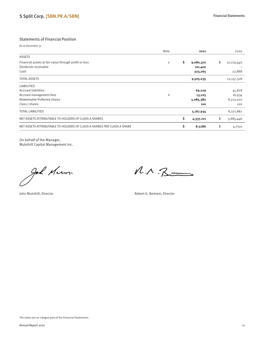# Statements of Financial Position

As at December 31

|                                                                        | Note | 2021            | 2020             |
|------------------------------------------------------------------------|------|-----------------|------------------|
| <b>ASSETS</b>                                                          |      |                 |                  |
| Financial assets at fair value through profit or loss                  | 6    | \$<br>9,080,370 | \$<br>12,129,440 |
| Dividends receivable                                                   |      | 101,400         |                  |
| Cash                                                                   |      | 323,265         | 27,888           |
| <b>TOTAL ASSETS</b>                                                    |      | 9,505,035       | 12, 157, 328     |
| <b>LIABILITIES</b>                                                     |      |                 |                  |
| <b>Accrued liabilities</b>                                             |      | 69,229          | 41,828           |
| Accrued management fees                                                | 8    | 13,225          | 16,934           |
| Redeemable Preferred shares                                            |      | 5,085,380       | 8,213,020        |
| Class J shares                                                         |      | 100             | 100              |
| <b>TOTAL LIABILITIES</b>                                               |      | 5,167,934       | 8,271,882        |
| NET ASSETS ATTRIBUTABLE TO HOLDERS OF CLASS A SHARES                   |      | \$<br>4,337,101 | \$<br>3,885,446  |
| NET ASSETS ATTRIBUTABLE TO HOLDERS OF CLASS A SHARES PER CLASS A SHARE |      | \$<br>8.5286    | \$<br>4.7310     |

On behalf of the Manager, Mulvihill Capital Management Inc.

Joh Mum.

 $M \wedge R$ 

John Mulvihill, Director **Robert G. Bertram, Director** Robert G. Bertram, Director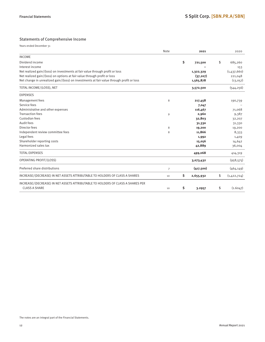# Statements of Comprehensive Income

Years ended December 31

|                                                                                          | Note           | 2021            | 2020              |
|------------------------------------------------------------------------------------------|----------------|-----------------|-------------------|
| <b>INCOME</b>                                                                            |                |                 |                   |
| Dividend income                                                                          |                | \$<br>721,500   | \$<br>685,260     |
| Interest income                                                                          |                |                 | 153               |
| Net realized gain/(loss) on investments at fair value through profit or loss             |                | 1,322,329       | (1,437,660)       |
| Net realized gain/(loss) on options at fair value through profit or loss                 |                | (37, 207)       | 221,048           |
| Net change in unrealized gain/(loss) on investments at fair value through profit or loss |                | 1,565,878       | (13,057)          |
| TOTAL INCOME/(LOSS), NET                                                                 |                | 3,572,500       | (544, 256)        |
| <b>EXPENSES</b>                                                                          |                |                 |                   |
| Management fees                                                                          | 8              | 217,458         | 190,739           |
| Service fees                                                                             |                | 7,047           |                   |
| Administrative and other expenses                                                        |                | 116,467         | 71,068            |
| <b>Transaction fees</b>                                                                  | 9              | 2,960           | 9,387             |
| Custodian fees                                                                           |                | 32,803          | 32,207            |
| Audit fees                                                                               |                | 31,330          | 31,330            |
| Director fees                                                                            | 8              | 19,200          | 19,200            |
| Independent review committee fees                                                        | 8              | 11,866          | 8,333             |
| Legal fees                                                                               |                | 1,992           | 1,409             |
| Shareholder reporting costs                                                              |                | 15,056          | 14,642            |
| Harmonized sales tax                                                                     |                | 42,889          | 36,004            |
| <b>TOTAL EXPENSES</b>                                                                    |                | 499,068         | 414,319           |
| OPERATING PROFIT/(LOSS)                                                                  |                | 3,073,432       | (958, 575)        |
| Preferred share distributions                                                            | $\overline{7}$ | (417,500)       | (464, 149)        |
| INCREASE/(DECREASE) IN NET ASSETS ATTRIBUTABLE TO HOLDERS OF CLASS A SHARES              | 10             | \$<br>2,655,932 | \$<br>(1,422,724) |
| INCREASE/(DECREASE) IN NET ASSETS ATTRIBUTABLE TO HOLDERS OF CLASS A SHARES PER          |                |                 |                   |
| <b>CLASS A SHARE</b>                                                                     | 10             | \$<br>3.2957    | \$<br>(1.6047)    |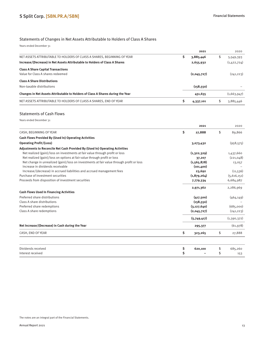# Statements of Changes in Net Assets Attributable to Holders of Class A Shares

Years ended December 31

|                                                                                 |    | 2021        |    | 2020        |
|---------------------------------------------------------------------------------|----|-------------|----|-------------|
| NET ASSETS ATTRIBUTABLE TO HOLDERS OF CLASS A SHARES, BEGINNING OF YEAR         | \$ | 3,885,446   | \$ | 5,549,393   |
| Increase/(Decrease) in Net Assets Attributable to Holders of Class A Shares     |    | 2,655,932   |    | (1,422,724) |
| <b>Class A Share Capital Transactions</b><br>Value for Class A shares redeemed  |    | (2,045,727) |    | (241, 223)  |
| <b>Class A Share Distributions</b>                                              |    |             |    |             |
| Non-taxable distributions                                                       |    | (158, 550)  |    |             |
| Changes in Net Assets Attributable to Holders of Class A Shares during the Year |    | 451,655     |    | (1,663,947) |
| NET ASSETS ATTRIBUTABLE TO HOLDERS OF CLASS A SHARES, END OF YEAR               | S  | 4,337,101   | S  | 3,885,446   |

# Statements of Cash Flows

Years ended December 31

|                                                                                          | 2021          | 2020          |
|------------------------------------------------------------------------------------------|---------------|---------------|
| CASH, BEGINNING OF YEAR                                                                  | \$<br>27,888  | \$<br>89,866  |
| <b>Cash Flows Provided By (Used In) Operating Activities</b>                             |               |               |
| <b>Operating Profit/(Loss)</b>                                                           | 3,073,432     | (958, 575)    |
| Adjustments to Reconcile Net Cash Provided By (Used In) Operating Activities             |               |               |
| Net realized (gain)/loss on investments at fair value through profit or loss             | (1,322,329)   | 1,437,660     |
| Net realized (gain)/loss on options at fair value through profit or loss                 | 37,207        | (221,048)     |
| Net change in unrealized (gain)/loss on investments at fair value through profit or loss | (1, 565, 878) | 13,057        |
| Increase in dividends receivable                                                         | (101, 400)    |               |
| Increase/(decrease) in accrued liabilities and accrued management fees                   | 23,692        | (11, 536)     |
| Purchase of investment securities                                                        | (1,879,264)   | (5,616,151)   |
| Proceeds from disposition of investment securities                                       | 7,779,334     | 6,684,987     |
|                                                                                          | 2,971,362     | 2,286,969     |
| <b>Cash Flows Used In Financing Activities</b>                                           |               |               |
| Preferred share distributions                                                            | (417,500)     | (464, 149)    |
| Class A share distributions                                                              | (158, 550)    |               |
| Preferred share redemptions                                                              | (3, 127, 640) | (685,000)     |
| Class A share redemptions                                                                | (2,045,727)   | (241, 223)    |
|                                                                                          | (5,749,417)   | (1,390,372)   |
| Net Increase/(Decrease) in Cash during the Year                                          | 295,377       | (61, 978)     |
| CASH, END OF YEAR                                                                        | \$<br>323,265 | \$<br>27,888  |
|                                                                                          |               |               |
| Dividends received                                                                       | \$<br>620,100 | \$<br>685,260 |
| Interest received                                                                        | \$            | \$<br>153     |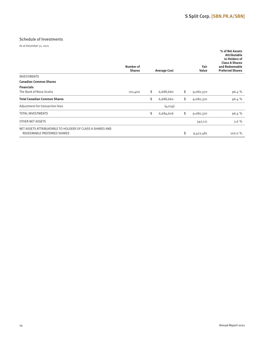# Schedule of Investments

As at December 31, 2021

|                                                           | Number of<br><b>Shares</b> | <b>Average Cost</b> | Fair<br>Value   | % of Net Assets<br><b>Attributable</b><br>to Holders of<br><b>Class A Shares</b><br>and Redeemable<br><b>Preferred Shares</b> |
|-----------------------------------------------------------|----------------------------|---------------------|-----------------|-------------------------------------------------------------------------------------------------------------------------------|
| <b>INVESTMENTS</b>                                        |                            |                     |                 |                                                                                                                               |
| <b>Canadian Common Shares</b>                             |                            |                     |                 |                                                                                                                               |
| <b>Financials</b>                                         |                            |                     |                 |                                                                                                                               |
| The Bank of Nova Scotia                                   | 101,400                    | \$<br>6,688,660     | \$<br>9,080,370 | 96.4 %                                                                                                                        |
| <b>Total Canadian Common Shares</b>                       |                            | \$<br>6,688,660     | \$<br>9,080,370 | 96.4 %                                                                                                                        |
| Adjustment for transaction fees                           |                            | (4,034)             |                 |                                                                                                                               |
| <b>TOTAL INVESTMENTS</b>                                  |                            | \$<br>6,684,626     | \$<br>9,080,370 | 96.4 %                                                                                                                        |
| <b>OTHER NET ASSETS</b>                                   |                            |                     | 342,111         | 3.6%                                                                                                                          |
| NET ASSETS ATTRIBUATABLE TO HOLDERS OF CLASS A SHARES AND |                            |                     |                 |                                                                                                                               |
| REDEEMABLE PREFERRED SHARES                               |                            |                     | \$<br>9,422,481 | 100.0 %                                                                                                                       |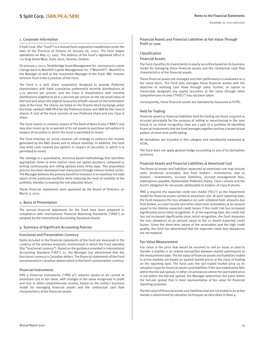#### 1. Corporate Information

S Split Corp. (the "Fund") is a mutual fund corporation established under the laws of the Province of Ontario on January 26, 2007. The Fund began operations on May 17, 2007. The address of the Fund's registered office is 121 King Street West, Suite 2600, Toronto, Ontario.

On January 1, 2022, Strathbridge Asset Management Inc. announced a name change back to Mulvihill Capital Management Inc. ("Mulvihill"). Mulvihill is the Manager as well as the Investment Manager of the Fund. RBC Investor Services Trust is the Custodian of the Fund.

The Fund is a split share corporation designed to provide Preferred shareholders with fixed cumulative preferential monthly distributions of 5.25 percent per annum, and the Class A shareholders with monthly distributions targeted to be 6.0 percent per annum on the net asset value of the Fund and return the original issue price of both classes on the termination date of the Fund. The shares are listed on the Toronto Stock Exchange under the ticker symbols SBN.PR.A for the Preferred shares and SBN for the Class A shares. A Unit of the Fund consists of one Preferred share and one Class A share.

The Fund invests in common shares of The Bank of Nova Scotia ("BNS") and may also invest up to 10 percent of its net assets to purchase call options in respect of securities in which the Fund is permitted to invest.

The Fund employs an active covered call strategy to enhance the income generated by the BNS shares and to reduce volatility. In addition, the Fund may write cash covered put options in respect of securities in which it is permitted to invest.

The strategy is a quantitative, technical based methodology that identifies appropriate times to write and/or close out option positions compared to writing continuously and rolling options every thirty days. This proprietary process has been developed over many years through various market cycles. The Manager believes the primary benefit to investors is to maximize the total return of the particular portfolio while reducing the level of volatility of the portfolio, thereby increasing the risk-adjusted return.

These financial statements were approved by the Board of Directors on March 3, 2022.

#### 2. Basis of Presentation

The annual financial statements for the Fund have been prepared in compliance with International Financial Reporting Standards ("IFRS") as adopted by the International Accounting Standards Board.

#### 3. Summary of Significant Accounting Policies

#### Functional and Presentation Currency

Items included in the financial statements of the Fund are measured in the currency of the primary economic environment in which the Fund operates (the "functional currency"). Based on the guidance provided in International Accounting Standard ("IAS") 21, the Manager has determined that the functional currency is Canadian dollars. The financial statements of the Fund are presented in Canadian dollars which is the Fund's presentation currency.

#### Financial Instruments

IFRS 9 Financial Instruments ("IFRS 9") requires assets to be carried at amortized cost or fair value, with changes in fair value recognized in profit and loss or other comprehensive income, based on the entity's business model for managing financial assets and the contractual cash flow characteristics of the financial assets.

### Financial Assets and Financial Liabilities at Fair Value Through Profit or Loss

## Classification

#### Financial Assets

The Fund classifies its investments in equity securities based on its business model for managing those financial assets and the contractual cash flow characteristics of the financial assets.

These financial assets are managed and their performance is evaluated on a fair value basis. The Fund also manages these financial assets with the objective of realizing cash flows through sales. Further, an option to irrevocably designate any equity securities at fair value through other comprehensive income ("FVOCI") has not been taken.

Consequently, these financial assets are mandatorily measured at FVTPL.

#### Held for Trading

Financial assets or financial liabilities held for trading are those acquired or incurred principally for the purpose of selling or repurchasing in the near future or on initial recognition they are a part of a portfolio of identified financial instruments that the Fund manages together and has a recent actual pattern of short term profit-taking.

All derivatives are included in this category and mandatorily measured at FVTPL.

The Fund does not apply general hedge accounting to any of its derivatives positions.

## Financial Assets and Financial Liabilities at Amortized Cost

The financial assets and liabilities measured at amortized cost may include cash, dividends receivable, due from brokers – investments, due to brokers – investments, accrued liabilities, accrued management fees, redemptions payable, Redeemable Preferred shares, Class J shares and the Fund's obligation for net assets attributable to holders of Class A shares.

IFRS 9 requires the expected credit loss model ("ECL") as the impairment model for financial assets carried at amortized cost. At each reporting date, the Fund measures the loss allowance on cash collateral held, amounts due from broker, accrued income and other short-term receivables at an amount equal to the lifetime expected credit losses if the credit risk has increased significantly since initial recognition. If, at the reporting date, the credit risk has not increased significantly since initial recognition, the Fund measures the loss allowance at an amount equal to the 12 month expected credit losses. Given the short-term nature of the receivables and the high credit quality, the Fund has determined that the expected credit loss allowances are not material.

#### Fair Value Measurement

Fair value is the price that would be received to sell an asset or paid to transfer a liability in an orderly transaction between market participants at the measurement date. The fair value of financial assets and liabilities traded in active markets are based on quoted market prices at the close of trading on the reporting date. The Fund uses the last traded market price as its valuation input for financial assets and liabilities if the last traded price falls within the bid-ask spread. In other circumstances where the last traded price is not within the bid-ask spread, the Manager determines the point within the bid-ask spread that is most representative of fair value for financial reporting purposes.

The fair value of financial assets and liabilities that are not traded in an active market is determined by valuation techniques as described in Note 4.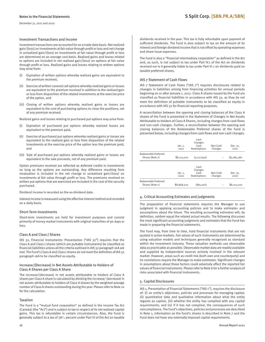December 31, 2021 and 2020

## Investment Transactions and Income

Investment transactions are accounted for on a trade date basis. Net realized gain/(loss) on investments at fair value through profit or loss and net change in unrealized gain/(loss) on investments at fair value through profit or loss are determined on an average cost basis. Realized gains and losses related to options are included in net realized gain/(loss) on options at fair value through profit or loss. Realized gains and losses relating to written options may arise from:

- (i) Expiration of written options whereby realized gains are equivalent to the premium received,
- (ii) Exercise of written covered call options whereby realized gains or losses are equivalent to the premium received in addition to the realized gain or loss from disposition of the related investments at the exercise price of the option, and
- (iii) Closing of written options whereby realized gains or losses are equivalent to the cost of purchasing options to close the positions, net of any premium received.

Realized gains and losses relating to purchased put options may arise from:

- Expiration of purchased put options whereby realized losses are equivalent to the premium paid,
- (ii) Exercise of purchased put options whereby realized gains or losses are equivalent to the realized gain or loss from disposition of the related investments at the exercise price of the option less the premium paid, and
- (iii) Sale of purchased put options whereby realized gains or losses are equivalent to the sale proceeds, net of any premium paid.

Option premiums received are reflected as deferred credits in investments so long as the options are outstanding. Any difference resulting from revaluation is included in the net change in unrealized gain/(loss) on investments at fair value through profit or loss. The premiums received on written put options that are exercised are included in the cost of the security purchased.

Dividend income is recorded on the ex-dividend date.

Interest income is measured using the effective interest method and recorded on a daily basis.

#### Short-Term Investments

Short-term investments are held for investment purposes and consist primarily of money market instruments with original maturities of 90 days or less.

#### Class A and Class J Shares

IAS 32, Financial Instruments: Presentation ("IAS 32") requires that the Class A and Class J shares (which are puttable instruments) be classified as financial liabilities unless all the criteria outlined in IAS 32 paragraph 16A are met. The Fund's Class A and Class J shares do not meet the definition of IAS 32 paragraph 16A to be classified as equity.

#### Increase/(Decrease) in Net Assets Attributable to Holders of Class A Shares per Class A Share

The increase/(decrease) in net assets attributable to holders of Class A shares per Class A share is calculated by dividing the increase/ (decrease) in net assets attributable to holders of Class A shares by the weighted average number of Class A shares outstanding during the year. Please refer to Note 10 for the calculation.

#### Taxation

The Fund is a "mutual fund corporation" as defined in the Income Tax Act (Canada) (the "Act") and is subject to tax in respect of its net realized capital gains. This tax is refundable in certain circumstances. Also, the Fund is generally subject to a tax of 38<sup>1</sup>/<sub>3</sub> percent under Part IV of the Act on taxable

dividends received in the year. This tax is fully refundable upon payment of sufficient dividends. The Fund is also subject to tax on the amount of its interest and foreign dividend income that is not offset by operating expenses and share issue expenses.

The Fund is also a "financial intermediary corporation" as defined in the Act and, as such, is not subject to tax under Part IV.1 of the Act on dividends received nor is it generally liable to tax under Part VI.1 on dividends paid on taxable preferred shares.

## IAS 7 Statement of Cash Flows

IAS 7 Statement of Cash Flows ("IAS 7") requires disclosures related to changes in liabilities arising from financing activities for annual periods beginning on or after January 1, 2017. Class A shares issued by the Fund are classified as financial liabilities in accordance with IAS 32, as they do not meet the definition of puttable instruments to be classified as equity in accordance with IAS 32 for financial reporting purposes.

A reconciliation between the opening and closing balances of the Class A shares of the Fund is presented in the Statement of Changes in Net Assets Attributable to Holders of Class A Shares, including changes from cash flows and non-cash changes. Further, a reconciliation between the opening and closing balances of the Redeemable Preferred shares of the Fund is presented below, including changes from cash flows and non-cash changes.

|                                                | Jan. 1,<br>2021 | Cash<br>Changes<br>Cash<br>Redemptions | Non-Cash<br>Changes | Dec. 31,<br>2021 |
|------------------------------------------------|-----------------|----------------------------------------|---------------------|------------------|
| Redeemable Preferred<br>Shares (Note 7)        | \$8,213,020     | (3, 127, 640)                          |                     | \$5,085,380      |
|                                                | Jan. 1,<br>2020 | Cash<br>Changes<br>Cash<br>Redemptions | Non-Cash<br>Changes | Dec. 31,<br>2020 |
| <b>Redeemable Preferred</b><br>Shares (Note 7) | \$8,898,020     | (685,000)                              |                     | \$8,213,020      |

#### 4. Critical Accounting Estimates and Judgments

The preparation of financial statements requires the Manager to use judgment in applying accounting policies and to make estimates and assumptions about the future. The resulting accounting estimates will, by definition, seldom equal the related actual results. The following discusses the most significant accounting judgments and estimates that the Fund has made in preparing the financial statements.

The Fund may, from time to time, hold financial instruments that are not quoted in active markets. Fair values of such instruments are determined by using valuation models and techniques generally recognized as standard within the investment industry. These valuation methods use observable data as practicable as possible. Observable market data are readily available and supplied by independent sources actively involved in the relevant market. However, areas such as credit risk (both own and counterparty) and its correlations require the Manager to make estimates. Significant changes in assumptions about these factors could adversely affect the reported fair values of financial instruments. Please refer to Note 6 for a further analysis of risks associated with financial instruments.

#### 5. Capital Disclosures

IAS 1, Presentation of Financial Statements ("IAS 1"), requires the disclosure of: (i) an entity's objectives, policies and processes for managing capital; (ii) quantitative data and qualitative information about what the entity regards as capital; (iii) whether the entity has complied with any capital requirements; and (iv) if it has not complied, the consequences of such noncompliance. The Fund's objectives, policies and processes are described in Note 1, information on the Fund's shares is described in Note 7 and the Fund does not have any externally imposed capital requirements.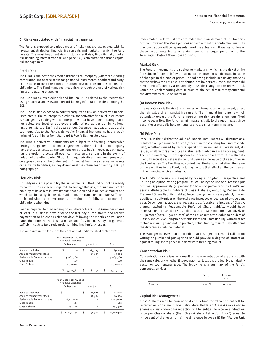#### 6. Risks Associated with Financial Instruments

The Fund is exposed to various types of risks that are associated with its investment strategies, financial instruments and markets in which the Fund invests. The most important risks include credit risk, liquidity risk, market risk (including interest rate risk, and price risk), concentration risk and capital risk management.

#### Credit Risk

The Fund is subject to the credit risk that its counterparty (whether a clearing corporation, in the case of exchange-traded instruments, or other third party, in the case of over-the-counter instruments) may be unable to meet its obligations. The Fund manages these risks through the use of various risk limits and trading strategies.

The Fund measures credit risk and lifetime ECLs related to the receivables using historical analysis and forward-looking information in determining the ECL.

The Fund is also exposed to counterparty credit risk on derivative financial instruments. The counterparty credit risk for derivative financial instruments is managed by dealing with counterparties that have a credit rating that is not below the level of approved credit ratings as set out in National Instrument 81-102. During the years ended December 31, 2021 and 2020, the counterparties to the Fund's derivative financial instruments had a credit rating of A-1 or higher from Standard & Poor's Ratings Services.

The Fund's derivative instruments are subject to offsetting, enforceable netting arrangements and similar agreements. The Fund and its counterparty have elected to settle all transactions on a gross basis; however, each party has the option to settle all open contracts on a net basis in the event of default of the other party. All outstanding derivatives have been presented on a gross basis on the Statement of Financial Position as derivative assets or derivative liabilities, as they do not meet the criteria for offsetting in IAS 32 paragraph 42.

#### Liquidity Risk

Liquidity risk is the possibility that investments in the Fund cannot be readily converted into cash when required. To manage this risk, the Fund invests the majority of its assets in investments that are traded in an active market and which can be easily disposed. In addition, the Fund aims to retain sufficient cash and short-term investments to maintain liquidity and to meet its obligations when due.

Cash is required to fund redemptions. Shareholders must surrender shares at least 10 business days prior to the last day of the month and receive payment on or before 15 calendar days following the month end valuation date. Therefore the Fund has a maximum of 25 business days to generate sufficient cash to fund redemptions mitigating liquidity issues.

The amounts in the table are the contractual undiscounted cash flows:

|                             | As at December 31, 2021<br><b>Financial Liabilities</b> |            |            |    |           |
|-----------------------------|---------------------------------------------------------|------------|------------|----|-----------|
|                             | On Demand                                               |            | < 3 months |    | Total     |
| <b>Accrued liabilities</b>  | \$                                                      | \$         | 69,229     | \$ | 69,229    |
| Accrued management fees     |                                                         |            | 13,225     |    | 13,225    |
| Redeemable Preferred shares | 5,085,380                                               |            |            |    | 5,085,380 |
| Class J shares              | 100                                                     |            |            |    | 100       |
| Class A shares              | 4,337,101                                               |            |            |    | 4,337,101 |
|                             | \$<br>9,422,581                                         | \$         | 82,454     | \$ | 9,505,035 |
|                             | As at December 31, 2020<br><b>Financial Liabilities</b> |            |            |    |           |
|                             | On Demand                                               | < 3 months |            |    | Total     |
| <b>Accrued liabilities</b>  | \$                                                      | \$         | 41,828     | \$ | 41,828    |
| Accrued management fees     |                                                         |            | 16,934     |    | 16,934    |
| Redeemable Preferred shares | 8,213,020                                               |            |            |    | 8,213,020 |
| Class J shares              | 100                                                     |            |            |    | 100       |
| Class A shares              | 3,885,446                                               |            |            |    | 3,885,446 |

\$ 12,098,566 \$ 58,762 \$ 12,157,328

Redeemable Preferred shares are redeemable on demand at the holder's option. However, the Manager does not expect that the contractual maturity disclosed above will be representative of the actual cash flows, as holders of these instruments typically retain them for a longer period or to the Termination Date of November 30, 2021.

#### Market Risk

The Fund's investments are subject to market risk which is the risk that the fair value or future cash flows of a financial instrument will fluctuate because of changes in the market prices. The following include sensitivity analyses that show how the net assets attributable to holders of Class A shares would have been affected by a reasonably possible change in the relevant risk variable at each reporting date. In practice, the actual results may differ and the differences could be material.

#### (a) Interest Rate Risk

Interest rate risk is the risk that changes in interest rates will adversely affect the fair value of a financial instrument. The financial instruments which potentially expose the Fund to interest rate risk are the short-term fixed income securities. The Fund has minimal sensitivity to changes in rates since securities are usually held to maturity and are short-term in nature.

#### (b) Price Risk

Price risk is the risk that the value of financial instruments will fluctuate as a result of changes in market prices (other than those arising from interest rate risk), whether caused by factors specific to an individual investment, its issuer, or all factors affecting all instruments traded in a market or segment. The Fund's most significant exposure to price risk arises from its investments in equity securities. Net assets per Unit varies as the value of the securities in the Fund varies. The Fund has no control over the factors that affect the value of the securities in the Fund, including factors that affect all the companies in the financial services industry.

The Fund's price risk is managed by taking a long-term perspective and utilizing an option writing program, as well as by the use of purchased put options. Approximately 96 percent (2020 – 100 percent) of the Fund's net assets attributable to holders of Class A shares, excluding Redeemable Preferred Share liability, held at December 31, 2021 were publicly traded equities. If equity prices on the exchange increased or decreased by 5 percent as at December 31, 2021, the net assets attributable to holders of Class A shares, excluding Redeemable Preferred Share liability, would have increased or decreased by \$0.5 million (2020 – \$0.6 million) respectively or 4.8 percent (2020 – 5.0 percent) of the net assets attributable to holders of Class A shares, excluding Redeemable Preferred Share liability, with all other factors remaining constant. In practice, actual trading results may differ and the difference could be material.

The Manager believes that a portfolio that is subject to covered call option writing or purchased put options should provide a degree of protection against falling share prices in a downward trending market.

#### Concentration Risk

Concentration risk arises as a result of the concentration of exposures with the same category, whether it is geographical location, product type, industry sector or counterparty type. The following is a summary of the Fund's concentration risk:

|            | Dec. 31,<br>2021 | Dec. 31,<br>2020 |
|------------|------------------|------------------|
| Financials | 100.0%           | 100.0%           |

#### Capital Risk Management

Class A shares may be surrendered at any time for retraction but will be retracted only on a monthly valuation date. Holders of Class A shares whose shares are surrendered for retraction will be entitled to receive a retraction price per Class A share (the "Class A share Retraction Price") equal to 95 percent of the lesser of (a) the difference between (i) the NAV per Unit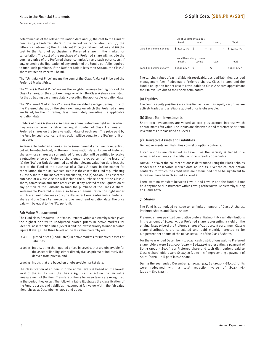determined as of the relevant valuation date and (ii) the cost to the Fund of purchasing a Preferred share in the market for cancellation; and (b) the difference between (i) the Unit Market Price (as defined below) and (ii) the cost to the Fund of purchasing a Preferred share in the market for cancellation. The cost of the purchase of a Preferred share will include the purchase price of the Preferred share, commission and such other costs, if any, related to the liquidation of any portion of the Fund's portfolio required to fund such purchase. If the NAV per Unit is less than \$10.00, the Class A share Retraction Price will be nil.

The "Unit Market Price" means the sum of the Class A Market Price and the Preferred Market Price.

The "Class A Market Price" means the weighted average trading price of the Class A shares, on the stock exchange on which the Class A shares are listed, for the 10 trading days immediately preceding the applicable valuation date.

The "Preferred Market Price" means the weighted average trading price of the Preferred shares, on the stock exchange on which the Preferred shares are listed, for the 10 trading days immediately preceding the applicable valuation date.

Holders of Class A shares also have an annual retraction right under which they may concurrently retract an equal number of Class A shares and Preferred shares on the June valuation date of each year. The price paid by the Fund for such a concurrent retraction will be equal to the NAV per Unit on that date.

Redeemable Preferred shares may be surrendered at any time for retraction, but will be retracted only on the monthly valuation date. Holders of Preferred shares whose shares are surrendered for retraction will be entitled to receive a retraction price per Preferred share equal to 95 percent of the lesser of (a) the NAV per Unit determined as of the relevant valuation date less the cost to the Fund of the purchase of a Class A share in the market for cancellation; (b) the Unit Market Price less the cost to the Fund of purchasing a Class A share in the market for cancellation; and (c) \$10.00. The cost of the purchase of a Class A share will include the purchase price of the Class A share, commission and such other costs, if any, related to the liquidation of any portion of the Portfolio to fund the purchase of the Class A share. Redeemable Preferred shares also have an annual retraction right under which a shareholder may concurrently retract one Redeemable Preferred share and one Class A share on the June month-end valuation date. The price paid will be equal to the NAV per Unit.

#### Fair Value Measurement

The Fund classifies fair value of measurement within a hierarchy which gives the highest priority to unadjusted quoted prices in active markets for identical assets or liabilities (Level 1) and the lowest priority to unobservable inputs (Level 3). The three levels of the fair value hierarchy are:

- Level 1: Quoted prices (unadjusted) in active markets for identical assets or liabilities,
- Level 2: Inputs, other than quoted prices in Level 1, that are observable for the asset or liability, either directly (i.e. as prices) or indirectly (i.e. derived from prices), and
- Level 3: Inputs that are based on unobservable market data.

The classification of an item into the above levels is based on the lowest level of the inputs used that has a significant effect on the fair value measurement of the item. Transfers of items between levels are recognized in the period they occur. The following table illustrates the classification of the Fund's assets and liabilities measured at fair value within the fair value hierarchy as at December 31, 2021 and 2020.

| As at December 31, 2021                                           |                 |         |         |              |  |
|-------------------------------------------------------------------|-----------------|---------|---------|--------------|--|
|                                                                   | Level 1         | Level 2 | Level 3 | Total        |  |
| Canadian Common Shares                                            | $$9,080,370$ \$ |         | - \$    | \$9,080,370  |  |
| As at December 31, 2020<br>Level 1<br>Level 2<br>Level 3<br>Total |                 |         |         |              |  |
| Canadian Common Shares                                            | \$12,129,440    | - \$    | - \$    | \$12,129,440 |  |

The carrying values of cash, dividends receivable, accrued liabilities, accrued management fees, Redeemable Preferred shares, Class J shares and the Fund's obligation for net assets attributable to Class A shares approximate their fair values due to their short-term nature.

#### (a) Equities

The Fund's equity positions are classified as Level 1 as equity securities are actively traded and a reliable quoted price is observable.

#### (b) Short-Term Investments

Short-term investments are valued at cost plus accrued interest which approximates fair value. The inputs are observable and therefore short-term investments are classified as Level 2.

#### (c) Derivative Assets and Liabilities

Derivative assets and liabilities consist of option contracts.

Listed options are classified as Level 1 as the security is traded in a recognized exchange and a reliable price is readily observable.

Fair value of over-the-counter options is determined using the Black-Scholes Model with observable market data as inputs. Over-the-counter option contracts, for which the credit risks are determined not to be significant to fair value, have been classified as Level 2.

There were no transfers between Level 1 and Level 2 and the Fund did not hold any financial instruments within Level 3 of the fair value hierarchy during 2021 and 2020.

#### 7. Shares

The Fund is authorized to issue an unlimited number of Class A shares, Preferred shares and Class J shares.

Preferred shares pay fixed cumulative preferential monthly cash distributions in the amount of \$0.04375 per Preferred share representing a yield on the original issue price of the Preferred shares of 5.25 percent per annum. Class A share distributions are calculated and paid monthly targeted to be 6.0 percent per annum of the net asset value of the Class A shares.

For the year ended December 31, 2021, cash distributions paid to Preferred shareholders were  $$417,500$  (2020 -  $$464,149$ ) representing a payment of \$0.53 (2020 – \$0.53) per Preferred share and cash distributions paid to Class A shareholders were \$158,550 (2020 – nil) representing a payment of \$0.21 (2020 – nil) per Class A share.

During the year ended December 31, 2021, 312,764 (2020 – 68,500) Units were redeemed with a total retraction value of \$5,173,367  $(2020 - $926, 223).$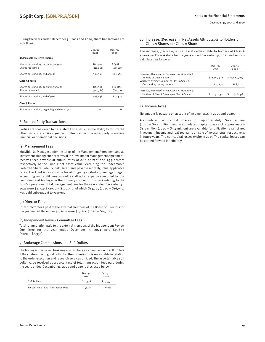During the years ended December 31, 2021 and 2020, share transactions are as follows:

|                                               | Dec. 31,<br>2021 | Dec. 31,<br>2020 |  |
|-----------------------------------------------|------------------|------------------|--|
| <b>Redeemable Preferred Shares</b>            |                  |                  |  |
| Shares outstanding, beginning of year         | 821,302          | 889,802          |  |
| Shares redeemed                               | (312,764)        | (68,500)         |  |
| Shares outstanding, end of year               | 508,538          | 821,302          |  |
| <b>Class A Shares</b>                         |                  |                  |  |
| Shares outstanding, beginning of year         | 821,302          | 889,802          |  |
| Shares redeemed                               | (312,764)        | (68,500)         |  |
| Shares outstanding, end of year               | 508,538          | 821,302          |  |
| <b>Class J Shares</b>                         |                  |                  |  |
| Shares outstanding, beginning and end of year | 100              | 100              |  |
|                                               |                  |                  |  |

#### 8. Related Party Transactions

Parties are considered to be related if one party has the ability to control the other party or exercise significant influence over the other party in making financial or operational decisions.

#### (a) Management Fees

Mulvihill, as Manager under the terms of the Management Agreement and as Investment Manager under terms of the Investment Management Agreement, receives fees payable at annual rates of 0.10 percent and 1.55 percent respectively of the Fund's net asset value, excluding the Redeemable Preferred Share liability, calculated and payable monthly, plus applicable taxes. The Fund is responsible for all ongoing custodian, manager, legal, accounting and audit fees as well as all other expenses incurred by the Custodian and Manager in the ordinary course of business relating to the Fund's operations. Total management fees for the year ended December 31, 2021 were \$217,458 (2020 – \$190,739) of which \$13,225 (2020 – \$16,934) was paid subsequent to year-end.

#### (b) Director Fees

Total director fees paid to the external members of the Board of Directors for the year ended December 31, 2021 were \$19,200 (2020 – \$19,200).

#### (c) Independent Review Committee Fees

Total remuneration paid to the external members of the Independent Review Committee for the year ended December 31, 2021 were \$11,866  $(2020 - $8,333)$ .

#### 9. Brokerage Commissions and Soft Dollars

The Manager may select brokerages who charge a commission in soft dollars if they determine in good faith that the commission is reasonable in relation to the order execution and research services utilized. The ascertainable soft dollar value received as a percentage of total transaction fees paid during the years ended December 31, 2021 and 2020 is disclosed below:

|                                      | Dec. 31,<br>2021 | Dec. 31,<br>2020<br>\$5,537 |  |
|--------------------------------------|------------------|-----------------------------|--|
| Soft Dollars                         | \$1,516          |                             |  |
| Percentage of Total Transaction Fees | 51.2%            | 59.0%                       |  |

#### 10. Increase/(Decrease) in Net Assets Attributable to Holders of Class A Shares per Class A Share

The increase/(decrease) in net assets attributable to holders of Class A shares per Class A share for the years ended December 31, 2021 and 2020 is calculated as follows:

|                                                                                                                                    | Dec. 31,<br>2021 |                           |    | Dec. 31,<br>2020 |  |
|------------------------------------------------------------------------------------------------------------------------------------|------------------|---------------------------|----|------------------|--|
| Increase/(Decrease) in Net Assets Attributable to<br><b>Holders of Class A Shares</b><br>Weighted Average Number of Class A Shares |                  | $$2,655,932$ $$1,422,724$ |    |                  |  |
| Outstanding during the Year                                                                                                        |                  | 805,878                   |    | 886.620          |  |
| Increase/(Decrease) in Net Assets Attributable to<br>Holders of Class A Shares per Class A Share                                   | \$               | 3.2957                    | \$ | (1.6047)         |  |

#### 11. Income Taxes

No amount is payable on account of income taxes in 2021 and 2020.

Accumulated non-capital losses of approximately \$0.1 million (2020 – \$0.1 million) and accumulated capital losses of approximately \$4.1 million (2020 – \$5.4 million) are available for utilization against net investment income and realized gains on sale of investments, respectively, in future years. The non-capital losses expire in 2041. The capital losses can be carried forward indefinitely.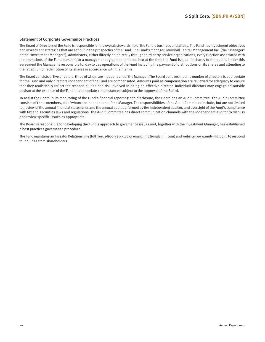# Statement of Corporate Governance Practices

The Board of Directors of the Fund is responsible for the overall stewardship of the Fund's business and affairs. The Fund has investment objectives and investment strategies that are set out in the prospectus of the Fund. The Fund's manager, Mulvihill Capital Management Inc. (the "Manager" or the "Investment Manager"), administers, either directly or indirectly through third party service organizations, every function associated with the operations of the Fund pursuant to a management agreement entered into at the time the Fund issued its shares to the public. Under this agreement the Manager is responsible for day to day operations of the Fund including the payment of distributions on its shares and attending to the retraction or redemption of its shares in accordance with their terms.

The Board consists of five directors, three of whom are independent of the Manager. The Board believes that the number of directors is appropriate for the Fund and only directors independent of the Fund are compensated. Amounts paid as compensation are reviewed for adequacy to ensure that they realistically reflect the responsibilities and risk involved in being an effective director. Individual directors may engage an outside advisor at the expense of the Fund in appropriate circumstances subject to the approval of the Board.

To assist the Board in its monitoring of the Fund's financial reporting and disclosure, the Board has an Audit Committee. The Audit Committee consists of three members, all of whom are independent of the Manager. The responsibilities of the Audit Committee include, but are not limited to, review of the annual financial statements and the annual audit performed by the independent auditor, and oversight of the Fund's compliance with tax and securities laws and regulations. The Audit Committee has direct communication channels with the independent auditor to discuss and review specific issues as appropriate.

The Board is responsible for developing the Fund's approach to governance issues and, together with the Investment Manager, has established a best practices governance procedure.

The Fund maintains an Investor Relations line (toll free: 1-800-725-7172 or email: info@mulvihill.com) and website (www.mulvihill.com) to respond to inquiries from shareholders.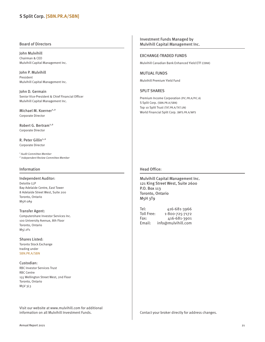# S Split Corp. [SBN.PR.A/SBN]

# Board of Directors

John Mulvihill Chairman & CEO Mulvihill Capital Management Inc.

John P. Mulvihill President Mulvihill Capital Management Inc.

John D. Germain Senior Vice-President & Chief Financial Officer Mulvihill Capital Management Inc.

Michael M. Koerner<sup>1,2</sup> Corporate Director

Robert G. Bertram<sup>1,2</sup> Corporate Director

R. Peter Gillin<sup>1,2</sup> Corporate Director

<sup>1</sup> Audit Committee Member <sup>2</sup> Independent Review Committee Member

# Information

# Independent Auditor:

Deloitte LLP Bay Adelaide Centre, East Tower 8 Adelaide Street West, Suite 200 Toronto, Ontario M5H 0A9

Transfer Agent: Computershare Investor Services Inc. 100 University Avenue, 8th Floor Toronto, Ontario M5J 2Y1

Shares Listed: Toronto Stock Exchange trading under SBN.PR.A/SBN

Custodian: RBC Investor Services Trust RBC Centre 155 Wellington Street West, 2nd Floor Toronto, Ontario M5V 3L3

Visit our website at www.mulvihill.com for additional information on all Mulvihill Investment Funds. Contact your broker directly for address changes.

Investment Funds Managed by Mulvihill Capital Management Inc.

# EXCHANGE-TRADED FUNDS

Mulvihill Canadian Bank Enhanced Yield ETF (CBNK)

# MUTUAL FUNDS

Mulvihill Premium Yield Fund

## SPLIT SHARES

Premium Income Corporation (PIC.PR.A/PIC.A) S Split Corp. (SBN.PR.A/SBN) Top 10 Split Trust (TXT.PR.A/TXT.UN) World Financial Split Corp. (WFS.PR.A/WFS

# Head Office:

Mulvihill Capital Management Inc. 121 King Street West, Suite 2600 P.O. Box 113 Toronto, Ontario M5H 3T9

Tel: 416-681-3966 Toll Free: 1-800-725-7172 Fax: 416-681-3901 Email: info@mulvihill.com